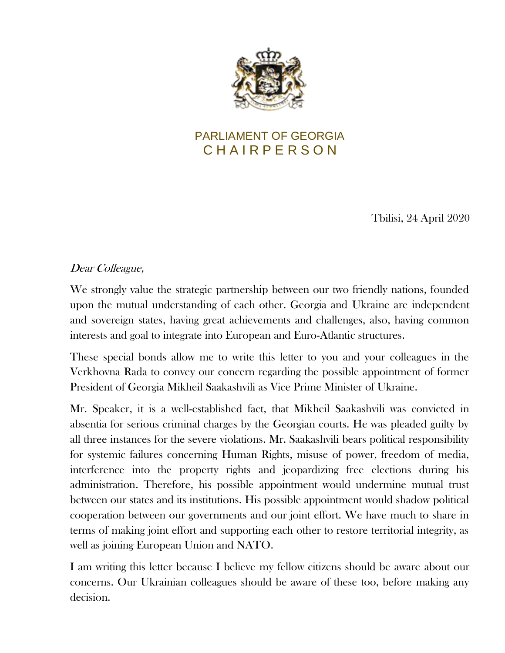

## PARLIAMENT OF GEORGIA C H A I R P E R S O N

Tbilisi, 24 April 2020

## Dear Colleague,

We strongly value the strategic partnership between our two friendly nations, founded upon the mutual understanding of each other. Georgia and Ukraine are independent and sovereign states, having great achievements and challenges, also, having common interests and goal to integrate into European and Euro-Atlantic structures.

These special bonds allow me to write this letter to you and your colleagues in the Verkhovna Rada to convey our concern regarding the possible appointment of former President of Georgia Mikheil Saakashvili as Vice Prime Minister of Ukraine.

Mr. Speaker, it is a well-established fact, that Mikheil Saakashvili was convicted in absentia for serious criminal charges by the Georgian courts. He was pleaded guilty by all three instances for the severe violations. Mr. Saakashvili bears political responsibility for systemic failures concerning Human Rights, misuse of power, freedom of media, interference into the property rights and jeopardizing free elections during his administration. Therefore, his possible appointment would undermine mutual trust between our states and its institutions. His possible appointment would shadow political cooperation between our governments and our joint effort. We have much to share in terms of making joint effort and supporting each other to restore territorial integrity, as well as joining European Union and NATO.

I am writing this letter because I believe my fellow citizens should be aware about our concerns. Our Ukrainian colleagues should be aware of these too, before making any decision.